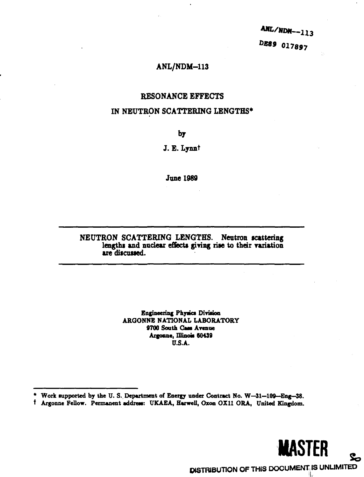ANL/NDM--113 DE89 017897

# **ANL/NDM-113**

# **RESONANCE EFFECTS**

# **IN NEUTRON SCATTERING LENGTHS\***

**by**

J. E. Lynn<sup>t</sup>

**June 1989** 

# **NEUTRON SCATTERING LENGTHS. Neutron scattering lengths and nndear effects giving rise to their variation are discussed.**

**Engineering Phyacs Division ARGONNE NATIONAL LABORATORY** 9700 South Cass Avenue Argonne, Illinois **60439 U.S.A.**

**<sup>\*</sup> Work lupported by the U. S. Deputment of Energy under Contract No. W—31—109—Eng—38.**

**f Argonne Fellow. Permanent addreai: UKAEA, Harwell, Oxon OX11 ORA, United Kingdom.**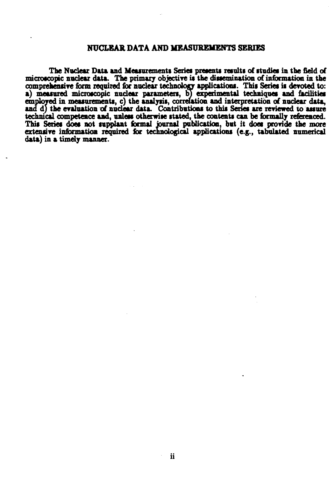## **NUCLEAR DATA AND MEASUREMENTS SERIES**

**The Nuclear Data and Measurements Series presents results of studies in the fidd of microscopic nuclear data. The primary objective is the dissemination of information in the comprehensive form required for nuclear technology applications. This Series is devoted to:** a) measured microscopic nuclear parameters, b) experimental techniques and facilities **employed in measurements, c) the analysis, correlation and interpretation of nuclear data, and d) the evaluation of nuclear data. Contributions to this Series are reviewed to assure technical competence and, unless otherwise stated, the contents can be fonnally referenced. This Series does not supplant formal journal publication, but it does provide the more extensive information required for technological applications (e.g., tabulated numerical data) in a timely manner.**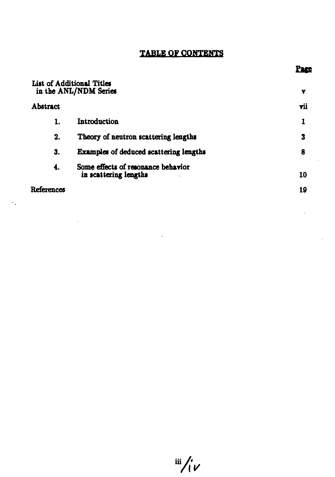# **TABLE QF CONTENTS**

|                 | List of Additional Titles<br>in the ANL/NDM Series          | Y   |
|-----------------|-------------------------------------------------------------|-----|
| <b>Abstract</b> |                                                             | vii |
| 1.              | Introduction                                                |     |
| 2.              | Theory of neutron scattering lengths                        | 3   |
| 3.              | <b>Examples of deduced scattering lengths</b>               | 8   |
| 4.              | Some effects of resonance behavior<br>in scattering lengths | 10  |
| References      | 19                                                          |     |

 $\ddotsc$ 

 $\frac{1}{2}$   $\frac{1}{2}$ 

*<u>Page</u>* 

l,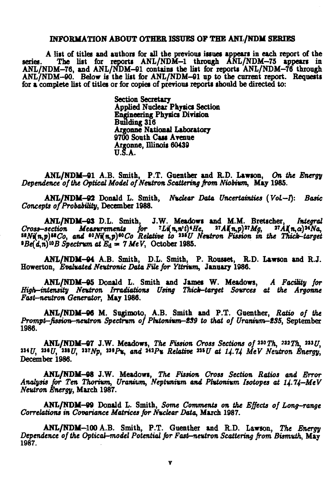# **INFORMATION ABOUT OTHER ISSUES OF THE ANI./NDM SERIES**

**A list of titles and authors for all the previous issues appears in each report of the series. The list for reports ANL/NDM-1 through ANL/NDM-75 appears in ANL/NDM-76, and ANL/NDM-91 contains the list for reports ANL/NDM-76 through ANL/NDM-90. Below is the list for ANL/NDM-91 up to the current report. Requests for a complete list of titles or for copies of previous reports should be directed to:**

> **Section Secretary Applied Nuclear Physics Section Engineering Physics Division Building 316 Argonne National Laboratory 9700 South Cass Avenue Argonne, Illinois 60439 U.S.A.**

**ANL/NDlf-01 A.B. Smith, P.T. Guenther and R.D. Lawson, On** *the Energy Dependence of the Optical Model of Neutron Scattering from Niobium,* **May 1985.**

**ANL/NDM-92 Donald L. Smith,** *Nuclear Data Uncertainties (Vol-t): Basic Concepts of Probability,* **December 1988.**

**ANL/NDM-03 D.L. Smith, J.W. Meadows and M.M. Bretscher,** *Integral Cross-section Measurements for \*Liln,n't)\*He, "AKn,p)"Mg, «AKn,a)\*\*Na, »Nin,p)"Co, and \*\*Niln,p)\*\*Co Relative to "\*U Neutron Fission in the Thick-target »Be{d,n)u>B Spectrum atEd= 7MeV,* **October 1985.**

**ANL/NDM-94 A.B. Smith, D.L. Smith, P. Rousset, R.D. Lawson and R.J. Howerton,** *Evaluated Neutronic Data File for Yttrium,* **January 1986.**

**ANL/NDM-05 Donald L. Smith and James W. Meadows,** *A Facility for High-intensity Neutron Irradiations Using Thich-target Sources at the Argonne Fast-neutron Generator,* **May 1986.**

**ANL/NDM-96 M. Sugimoto, A.B. Smith and P.T. Guenther,** *Ratio of the Prompt-fission-neutron Spectrum of Phtonium—239 to that of Uranium—235,* **September 1986.**

**ANL/NDM-97** J.W. Meadows, The Fission Cross Sections of  $230 Th$ ,  $232 Th$ ,  $233 U$ , *, "\*U,* **\*ȣ/;** *™Np,* **»•?«,** *and* **"\*P\*** *Relative ™U at 14.14 MeV Neutron Energy,* **December 1986.**

**ANL/NDM-08 J.W. Meadows,** *The Fission Cross Section Ratios and Error Analysis for Ten Thorium, Uranium, Neptunium and Plutonium Isotopes at 14.74—MeV Neutron Energy,* **March 1987.**

**ANL/NDM-99 Donald L. Smith,** *Some Comments on the Effects of Long-range Correlations in Covariance Matrices for Nuclear Data,* **March 1987.**

**ANL/NDM-100 A.B. Smith, P.T. Guenther and R.D. Lawson,** *The Energy Dependence of the Optical-model Potential for Fast-neutron Scattering from Bismuth,* **May 1987.**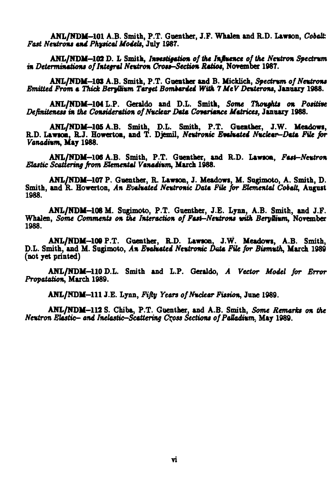**ANL/NDM-101 A.B. Smith, P.T. Guenther, J.F. Whalen and R.D. Lawson,** *Cobalt. Fast Neutrons and Physical Models,* **July 1987.**

**ANL/NDM-102 D. L Smith,** *Investigation of the Influence of the Neutron Spectrum in Determinations of Integral Neutron Cross-Section Ratios,* **November 1987.**

**ANL/NDM-103 A.B. Smith, P.T. Gnenther and B. Micklich,** *Spectnm of Neutrons Emitted From a Thick BeryOum Target Bombarded With 7MeV Deuterons,* **January 1988.**

**ANL/NDM-104 L.P. Geraldo and D.L. Smith,** *Some Thoughts on Positive Definiteness in the Consideration of Nuclear Data Covariance Matrices,* **January 1988.**

**ANL/NDM-105 A.B. Smith, D.L. Smith, P.T. Gueather, J.W. Meadows, R.D. Lawson, R.J. Howerton, and T. Djemil,** *Neutronic Evaluated Nuclear-Data File for Vanadium,* **May 1988.**

**ANL/NDM-108 A.B. Smith, P.T. Guenther, and R.D. Lawson,** *Fast-Neutron Elastic Scattering from Elemental Vanadium,* **March 1988.**

**ANL/NDM-107 P. Guenther, R. Lawton, J. Meadowi, M. Supmoto, A. Smith, D. Smith, and R. Howerton,** *An Evaluated Neutronic Data File for Elemental Cobalt,* **August 1988.**

**ANL/NDM-106 M. Sugimoto, P.T. Guenther, J.E. Lynn, A.B. Smith, and J.F. Whalen,** *Some Comments on the Interaction of Fast-Neutrons with Beryllium,* **Norember 1988.**

**ANL/NDM-10© P.T. Guenther, R.D. Lawson, J.W. Meadows, A.B. Smith, D.L. Smith, and M. Sugimoto,** *An Evaluated Neutronic Data File for Bismuth,* **March 1989 (not yet printed)**

**ANL/NDM-110 D.L. Smith and L.P. Geraldo,** *A Vector Model for Error Propatation,* **March 1989.**

**ANL/NDM-111 J.E. Lynn,** *Fifty Years of Nuclear Fission,* **June 1989.**

**ANL/NDM-112 S. Chiba, P.T. Guenther, and A.B. Smith,** *Some Remarks on the Neutron Elastic— and Inelastic—Scattering Cqoss Sections of Palladium,* **May 1989.**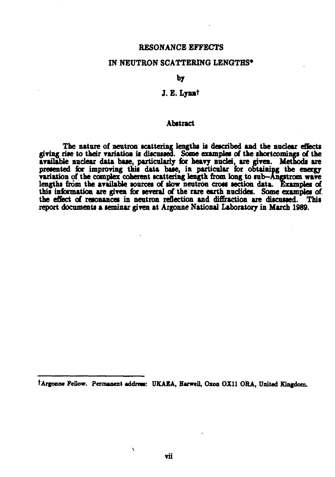# **RESONANCE EFFECTS**

# **IN NEUTRON SCATTERING LENGTHS\***

**by**

## **J. E. Lynnt**

## **Abstract**

**The nature of neutron scattering lengths is described and the nuclear effects giving rise to their variation is discussed. Some examples of the shortcomings of the available nuclear data base, particularly for heavy nuclei, are given. Methods are presented lor improving this data base, in particular for obtaining the energy variation of the complex coherent scattering length from long to sub—Angstrom wave** lengths from the available sources of slow neutron cross section data. Examples of **this information are given for several of the rare earth nudides. Some examples of the effect of resonances in neutron reflection and diffraction are discussed. This report documents a seminar given at Argonne National Laboratory in March 1989.**

 $\lambda$ 

**tArgoone Fellow. Permanent** *additm:* **UKAEA, Harwell, Qxon 0X11 ORA, United Kingdom.**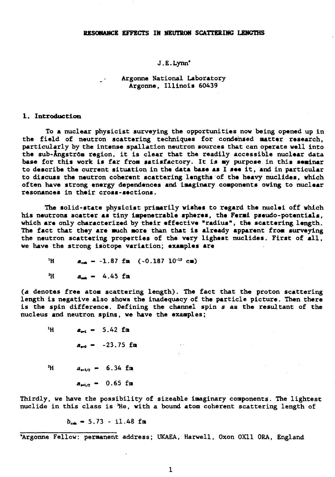#### **RESONANCE EFFECTS IN NEUTRON SCATTERING LENGTHS**

#### **J.E.Lynn\***

# **Argonne National Laboratory Argonne, Illinois 60439**

#### **1. Introduction**

**To a nuclear physicist surveying the opportunities nov being opened up in the field of neutron scattering techniques for condensed matter research, particularly by the intense spallation neutron sources that can operate well into the sub-Angstr6m region, it is clear that the readily accessible nuclear data base for this work is far from satisfactory. It is ay purpose in this seminar to describe the current situation in the data base as I see it, and in particular to discuss the neutron coherent scattering lengths of the heavy nuclides, which often have strong energy dependences and imaginary components owing to nuclear resonances in their cross-sections.**

**The solid-state physicist primarily wishes to regard the nuclei off which his neutrons scatter as tiny impenetrable spheres, the Fermi pseudo-potentials, which are only characterized by their effective "radius", the scattering length. The fact that they are much more than that is already apparent from surveying the neutron scattering properties of the very lighest nuclides. First of all, we have the strong isotope variation; examples are**

 $\frac{1}{2}$ H **a**<sub>coh</sub> - -1.87 fm (-0.187 10<sup>-12</sup> cm)

 $\mathbb{R}^{\frac{1}{2}}$ 

 $\lambda$ <sup>H</sup>  $a_{\text{max}} = 4.45$  fm

**(a denotes free atom scattering length). The fact that the proton scattering length is negative also shows the inadequacy of the particle picture. Then there is the spin difference. Defining the channel spin s as the resultant of the nucleus and neutron spins, we have the examples;**

 $\lambda$ **H**  $a_{\text{rel}} = 5.42$  fm  $a_{-0}$  -  $-23.75$  fm  $a_{\frac{1}{2}} = 6.34$  fm zн.  $a_{\frac{m!}{2}} = 0.65$  fm

**Thirdly, we have the possibility of sizeable imaginary components. The lightest nuclide in this class is !He, with a bound atom coherent scattering length of**

 $b_{\text{c}} = 5.73 - 11.48$  fm

**'Argonne Fellow: permanent address; UKAEA, Harwell, Oxon 0X11 0RA, England**

 $\mathbf{1}$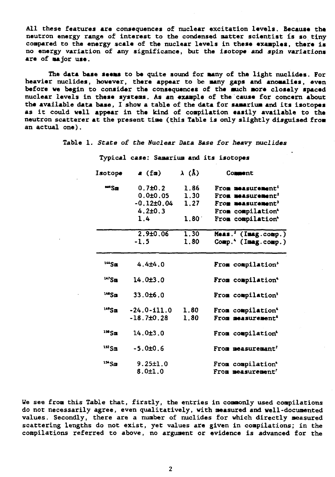**All these features are consequences of nuclear excitation levels. Because the neutron energy range of interest to the condensed natter scientist is so tiny compared to the energy scale of the nuclear levels in these examples, there is no energy variation of any significance, but the isotope and spin variations are of major use.**

**The data base seems to be quite sound for many of the light nuclides. For heavier nuclides, however, there appear to be many gaps and anomalies, even** before we begin to consider the consequences of the much more closely spaced **nuclear levels in these systems. As an exaaple of the cause for concern about the available data base, I show a table of the data for samarium and its isotopes as it could well appear in the kind of compilation easily available to the neutron scatterer at the present time (this Table is only slightly disguised froa an actual one).**

**Table 1. State of the Nuclear Data Base for heavy nuclides**

| Isotope           | a (fm)               | $\lambda$ (Å)  | Comment                       |
|-------------------|----------------------|----------------|-------------------------------|
| <b>**</b> Sm      | 0.7 <sub>±</sub> 0.2 | 1.86           | From measurement <sup>1</sup> |
|                   | 0.0±0.05             | 1.30           | From measurement <sup>2</sup> |
|                   | $-0.12 \pm 0.04$     | 1.27           | From measurement'             |
|                   | $4.2 \pm 0.3$        |                | From compilation*             |
|                   | 1.4                  | $1.80^{\circ}$ | From compilation*             |
|                   | $2.9 + 0.06$         | 1.30           | $Meas.$ ' (Imag.comp.)        |
|                   | $-1.5$               | 1.80           | Comp.* (Imag.comp.)           |
| $144$ Sm          | $4.4 + 4.0$          |                | From compilation'             |
| $147$ Sm          | 14.0±3.0             |                | From compilation <sup>4</sup> |
| 148 <sub>Sm</sub> | 33.0±6.0             |                | From compilation'             |
| 149Sm             | $-24.0 - 111.0$      | 1.80           | From compilation <sup>4</sup> |
|                   | $-18.7\pm0.28$       | 1.80           | From measurement <sup>6</sup> |
| $^{150}$ Sm       | 14.0±3.0             |                | From compilation <sup>4</sup> |
| $152$ Sm          | $-5.0±0.6$           |                | From measuremant <sup>7</sup> |
| $154$ Sm          | 9.25±1.0             |                | From compilation*             |
|                   | 8.0±1.0              |                | From measurement'             |

**Typical case: Samarium and its isotopes**

**We see from this Table that, firstly, the entries in commonly used compilations do not necessarily agree, even qualitatively, with measured and well-documented values. Secondly, there are a number of nuclides for which directly measured scattering lengths do not exist, yet values are given in compilations; in the compilations referred to above, no arguaent or evidence is advanced for the**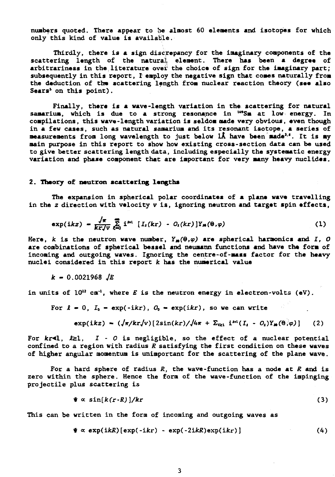**numbers quoted. There appear to be almost 60 elements and isotopes for which only this kind of value is available.**

**Thirdly, there is a sign discrepancy for the imaginary components of the scattering length of the natural element. There has been a degree of arbitrariness in the literature over the choice of sign for the imaginary part; subsequently in this report, I employ the negative sign that comes naturally from** the deduction of the scattering length from nuclear reaction theory (see also **Sears' on this point).**

**Finally, there is a wave-length variation in the scattering for natural samarium, which is due to a strong resonance in "\*Sm at low energy. In compilations, this wave-length variation is seldom made very obvious, even though in a few cases, such as natural samarium and its resonant isotope, a series of measurements from long wavelength to just below lA have been made<sup>1</sup>-'. It is my main purpose in this report to show how existing cross-section data can be used to give better scattering length data, including especially the systematic energy variation and phase component that are important for very many heavy nuclides.**

#### **2. Theory of neutron scattering lengths**

**The expansion in spherical polar coordinates of a plane wave travelling in the z direction with velocity v is, ignoring neutron and target spin effects,**

$$
\exp(ikz) = \frac{\sqrt{\pi}}{kr\sqrt{v}} \sum_{k=0}^{\infty} i^{k} [I_i(kr) - O_i(kr)] Y_m(\theta, \varphi)
$$
 (1)

Here,  $k$  is the neutron wave number,  $Y_{\mu}(\theta,\varphi)$  are spherical harmonics and I, O **are combinations of spherical bessel and neumann functions and have the form of incoming and outgoing waves. Ignoring the centre-of-mass factor for the heavy nuclei considered in this report k has the numerical value**

**k - 0.0021968 JE**

**in units of 10" cm'<sup>1</sup>, where E is the neutron energy in electron-volts (eV).**

For 
$$
\ell = 0
$$
,  $I_0 = \exp(-ikr)$ ,  $O_0 = \exp(ikr)$ , so we can write

$$
\exp(ikz) = (\sqrt{\pi}/kr/\nu)[2\sin(kr)/\sqrt{4\pi} + \Sigma_{\text{eq}} i^{\text{th}}(I_t - O_t)Y_{\text{m}}(\theta, \varphi)] \qquad (2)
$$

**For kr<l, £zl, I - O is negligible, so the effect of a nuclear potential confined to a region with radius R satisfying the first condition on these waves of higher angular momentum is unimportant for the scattering of the plane wave.**

**For a hard sphere of radius R, the wave-function has a node at R and is zero within the sphere. Hence the form of the wave-function of the impinging projectile plus scattering is**

$$
\mathbf{\Psi} \propto \sin[k(r\cdot R)]/kr \tag{3}
$$

**This can be written in the form of incoming and outgoing waves as**

$$
\mathbf{\hat{y}} \propto \exp(ikR)[\exp(-ikr) - \exp(-2ikR)\exp(ikr)] \tag{4}
$$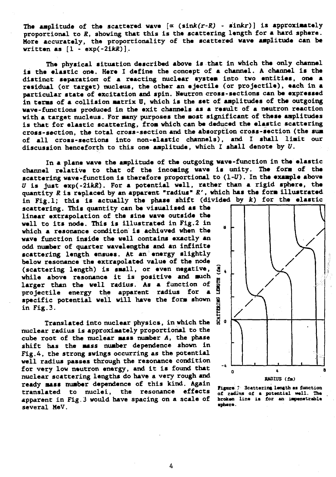The amplitude of the scattered wave  $[\alpha \ (sink(r-R) - sinkr)]$  is approximately **proportional to R, showing that this is the scattering length for a hard sphere. More accurately, the proportionality of the scattered wave amplitude can be written as**  $\begin{bmatrix} 1 & -\exp(-2\mathrm{i}kR) \end{bmatrix}$ **.** 

**The physical situation described above is that in which the only channel is the elastic one. Here I define the concept of a channel. A channel is the distinct separation- of a reacting nuclear system into two entities, one a residual (or target) nucleus, the other an ejectile (or projectile), each in a particular state of excitation and spin. Neutron cross-sections can be expressed in terms of a collision matrix U, which is the set of amplitudes of the outgoing wave-functions produced in the exit channels as a result of a neutron reaction with a target nucleus. For many purposes the most significant of these amplitudes is that for elastic scattering, from which can be deduced the elastic scattering cross-section, the total cross-section and the absorption cross-section (the sum of all cross-sections into non-elastic channels), and I shall limit our discussion henceforth to this one amplitude, which I shall denote by V.**

**In a plane wave the amplitude of the outgoing wave-function in the elastic channel relative to that of the incoming wave is unity. The form of the scattering wave-function is therefore proportional to (1-U). In the example above U is just exp(-2iJdi). For a potential well, rather than a rigid sphere, the quantity R is replaced by an apparent "radius" R', which has the form illustrated** in Fig.1; this is actually the phase shift (divided by k) for the elastic

**scattering. This quantity can be visualised as the linear extrapolation of the sine wave outside the well to its node. This is illustrated in Fig.2 in which a resonance condition is achieved when the wave function inside the well contains exactly an odd number of quarter wavelengths and an infinite scattering length ensues. At an energy slightly below resonance the extrapolated value of the node \_ (scattering length) is small, or even negative, | while above resonance it is positive and much ~ larger than the well radius. As a function of o** projectile energy the apparent radius for a **specific potential well will have the form shown £ in Fig.3. g**

**Translated into nuclear physics, in which the nuclear radius is approximately proportional to the cube root of the nuclear mass number A, the phase shift has the mass number dependence shown in Fig.4, the strong swings occurring as the potential well radius passes through the resonance condition for very low neutron energy, and it is found that nuclear scattering lengths do have a very rough and ready mass number dependence of this kind. Again translated to nuclei, the resonance effects apparent in Fig. 3 would have spacing on a scale of several MeV.**





4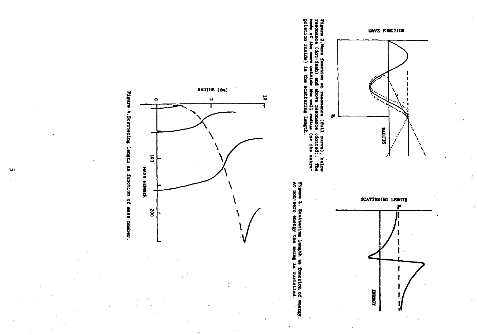









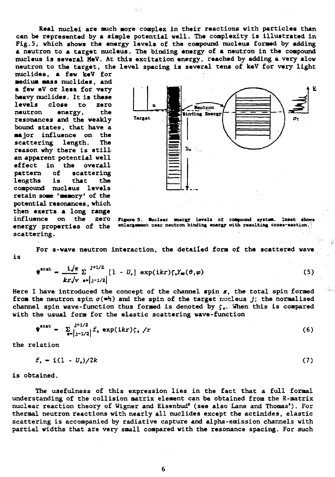**Real nuclei are much more complex in their reactions with particles than can be represented by a simple potential well. The complexity is illustrated in Fig.5, which shows the energy levels of the compound nucleus formed by adding a neutron to a target nucleus. The binding energy of a neutron in the compound nucleus is several MeV. At this excitation energy, reached by adding a very slow neutron to the target, the level spacing is several tens of keV for very light**

**nuclides, a few keV for medium mass nuclides, and a few eV or less for very heavy nuclides. It is these levels close to zero neutron energy, the resonances and the weakly bound states, that have a major influence on the scattering length. The reason why there is stillan apparent potential well effect in the overall pattern of scattering lengths is that the compound nucleus levels retain some 'memory' of the potential resonances, which then exerts a long range influence on the zero energy properties of the scattering.**



Figure 5. Nuclear snergy levels of compound system. Inset shows enlargement near neutron binding energy with resulting cross-section.

**is For s-wave neutron interaction, the detailed form of the scattered wave**

$$
\Psi^{\text{scat}} = \frac{i/\pi}{kr/v} \sum_{s=\lfloor j-1/2 \rfloor}^{j+1/2} [1 - U_s] \exp(ikr) \zeta_s Y_{\text{so}}(\vartheta, \varphi) \tag{5}
$$

**Here I have introduced the concept of the channel spin s, the total spin formed from the neutron spin**  $\sigma$ ( $\neq$ <sup>*h*</sup>)</sub> and the spin of the target funcleus *j*; the normalised channel spin wave-function thus formed is denoted by  $\zeta$ . When this is compared **with the usual form for the elastic scattering wave-function**

$$
\mathbf{F}^{\text{scat}} = \sum_{i=1}^{j+1/2} f_i \exp(ikr) \zeta_i / r \tag{6}
$$

**the relation**

$$
f_{s} = i(1 - U_{s})/2k
$$
 (7)

**is obtained.**

**The usefulness of this expression lies in the fact that a full formal understanding of the collision matrix element can be obtained from the R-matrix nuclear reaction theory of Uigner and Eisenbud' (see also Lane and Thomas'). For thermal neutron reactions with nearly all nuclides except the actinides, elastic scattering is accompanied by radiative capture and alpha-emission channels with partial widths that are very small compared with the resonance spacing. For such**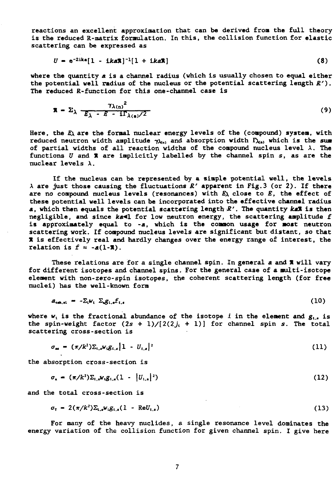**reactions an excellent approximation that can be derived from the full theoryis the reduced R-matrix formulation. In this, the collision function for elastic scattering can be expressed as**

$$
U = e^{-2ika}[1 - ika\mathbf{R}]^{-1}[1 + ika\mathbf{R}]
$$
 (8)

**where the quantity a. is a channel radius (which is usually chosen to equal either the potential well radius of the nucleus or the potential scattering length R'). The reduced R-function for this one-channel case is**

$$
\mathbf{x} = \Sigma_{\lambda} \frac{\gamma_{\lambda(n)}^2}{E_{\lambda} - E - i\Gamma_{\lambda(n)}/2}
$$
 (9)

Here, the  $E_\lambda$  are the formal nuclear energy levels of the (compound) system, with reduced neutron width amplitude  $\gamma_{\lambda_{(n)}}$  and absorption width  $\Gamma_{\lambda_{(n)}}$  which is the sum of partial widths of all reaction widths of the compound nucleus level  $\lambda$ . The **functions U and X are implicitly labelled by the channel spin s, as are the nuclear levels X.**

**If the nucleus can be represented by a simple potential well, the levels X are just those causing the fluctuations R' apparent in Fig.3 (or 2). If there are no compound nucleus levels (resonances) with E\ close to E, the effect of these potential well levels can be incorporated into the effective channel radius a, which then equals the potential scattering length R'. The quantity kaX is then** negligible, and since ka<1 for low neutron energy, the scattering amplitude f **is approximately equal to -a, which is the common usage for most neutron scattering work. If compound nucleus levels are significant but distant, so that X is effectively real and hardly changes over the energy range of interest, the** relation is  $f \approx -a(1-\pi)$ .

**These relations are for a single channel spin. In general a and X will vary for different isotopes and channel spins. For the general case of a multi-isotope element with non-zero-spin isotopes, the coherent scattering length (for free nuclei) has the well-known form**

$$
a_{\text{coh},\text{el}} = -\Sigma_{\text{i}} w_{\text{i}} \ \Sigma_{\text{i}} g_{\text{i},\text{i}} f_{\text{i},\text{i}} \tag{10}
$$

**where**  $w_i$  is the fractional abundance of the isotope *i* in the element and  $g_{i,j}$  is the spin-weight factor  $(2s + 1)/[2(2j + 1)]$  for channel spin *s*. The total **scattering cross-section is**

$$
\sigma_{se} = (\pi/k^2) \Sigma_{t,s} w_i g_{t,s} |1 - U_{t,s}|^2
$$
 (11)

**the absorption cross-section is**

$$
\sigma_{\mathbf{a}} = (\pi/k^2) \Sigma_{t,\mathbf{a}} w_i g_{t,\mathbf{a}} (1 - |U_{t,\mathbf{a}}|^2)
$$
 (12)

**and the total cross-section is**

$$
\sigma_{\tau} = 2(\pi/k^2) \Sigma_{t,s} w_t g_{t,s}(1 - \text{Re}U_{t,s})
$$
\n(13)

**For many of the heavy nuclides, a single resonance level dominates the energy variation of the collision function for given channel spin. I give here**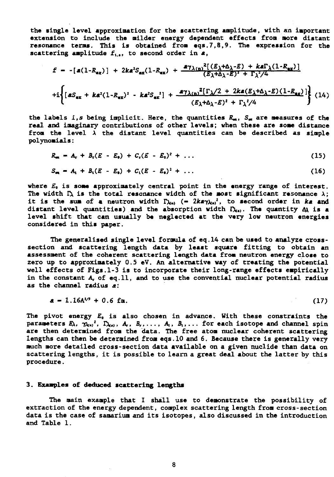**the single level approximation for the scattering amplitude, with an important extension to include the milder energy dependent effects from more distant resonance terms. This is obtained from eqs.7,8,9. The expression for the** scattering amplitude  $f_{i,j}$ , to second order in  $a$ ,

$$
f = -[a(1-R_{ex})] + 2ka^2S_{ex}(1-R_{ex}) + \frac{a\gamma_{\lambda(n)}^2[(E_{\lambda}+\Delta_{\lambda}-E) + ka\Gamma_{\lambda}(1-R_{ex})]}{(E_{\lambda}+\Delta_{\lambda}-E)^2 + \Gamma_{\lambda}^2/4}
$$
  
+
$$
+i\left\{[aS_{ex} + ka^2(1-R_{ex})^2 - ka^2S_{ex}^2] + \frac{a\gamma_{\lambda(n)}^2[\Gamma_{\lambda}/2 + 2ka(E_{\lambda}+\Delta_{\lambda}-E)(1-R_{ex})]}{(E_{\lambda}+\Delta_{\lambda}-E)^2 + \Gamma_{\lambda}^2/4}\right\}
$$
(14)

**the labels i,s being implicit. Here, the quantities R^, Sm are measures of the real and imaginary contributions of other levels; when these are some distance** from the level  $\lambda$  the distant level quantities can be described as simple **polynomials:**

$$
R_{\rm ex} = A_{\rm r} + B_{\rm r}(E - E_{\rm e}) + C_{\rm r}(E - E_{\rm e})^2 + \ldots \qquad (15)
$$

$$
S_m = A_1 + B_1(E - E_0) + C_1(E - E_0)^2 + \dots \qquad (16)
$$

**where £0 is some approximately central point in the energy range of interest.** The width  $\Gamma_\lambda$  is the total resonance width of the most significant resonance  $\lambda$ ; it is the sum of a neutron width  $\Gamma_{\lambda(s)}$  (-  $2k\pi\gamma_{\lambda(s)}^2$ , to second order in ke and distant level quantities) and the absorption width  $\Gamma_{\lambda(s)}$ . The quantity  $\Delta\lambda$  is a. **level shift that can usually be neglected at the very low neutron energies considered in this paper.**

**The generalised single level formula of eq.14 can be used to analyze crosssection and scattering length data by least square fitting to obtain an assessment of the coherent scattering length data from neutron energy close to zero up to approximately 0.5 eV. An alternative way of treating the potential well effects of Figs.1-3 is to incorporate their long-range effects empirically in the constant A, of eq.ll, and to use the convential nuclear potential radius as the channel radius a:**

$$
a = 1.16A^{1/3} + 0.6 \text{ fm.}
$$
 (17)

**The pivot energy Eo is also chosen in advance. With these constraints the** parameters  $E_\lambda$ ,  $\gamma_{\lambda}$ ,<sup>2</sup>,  $\Gamma_{\lambda}$ ,,  $A_r$ ,  $B_r$ ,...,  $A_t$ ,  $B_t$ ,... for each isotope and channel spin **are then determined from the data. The free atom nuclear coherent scattering lengths can then be determined from eqs. 10 and 6. Because there is generally very much more detailed cross-section data available on a given nuclide than data on scattering lengths, it is possible to learn a great deal about the latter by this procedure.**

#### **3. Examples of deduced scattering lengths**

**The main example that I shall use to demonstrate the possibility of extraction of the energy dependent, complex scattering length from cross-section data is the case of samarium and its isotopes, also discussed in the introduction and Table 1.**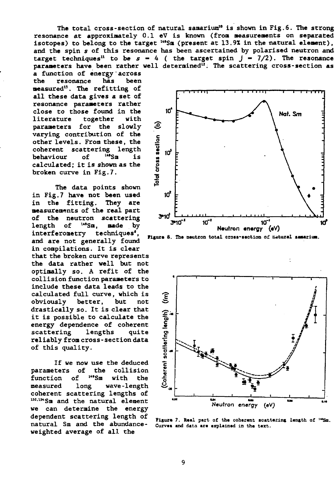**a function of energy'across the resonance has been measured<sup>13</sup>. The refitting of all these data gives a set of resonance parameters rather close to those found in the literature together with parameters for the slowly varying contribution of the other levels. From these, the coherent scattering length behaviour of <sup>u</sup>'Sm is calculated; it is shown as the broken curve in Fig.7.**

**The data points shown in Fig.7 have not been used in the fitting. They are measurements of the real part** of the neutron scattering<br>length of <sup>149</sup>Sm, made by **length of nade** by **interferometry techniques', and are not generally found in compilations. It is clear that the broken curve represents the data rather well but not optimally so. A refit of the collision function parameters to include these data leads to the calculated full curve, which is obviously better, but not drastically so. It is clear that it is possible to calculate the energy dependence of coherent scattering lengths quite reliably from cross-section data of this quality.**

**If we now use the deduced parameters of the collision function of with** the **measured long wave-length coherent scattering lengths of 1M' l54Sm and the natural element we can determine the energy dependent scattering length of natural Sm and the abundanceweighted average of all the**

**The total cross-section of natural samarium<sup>10</sup> is shown in Fig.6. The strong resonance at approximately 0.1 eV is known (from measurements on separated isotopes) to belong to the target <sup>u</sup>'Sm (present at 13.9Z in the natural element), and the spin 5 of this resonance has been ascertained by polarised neutron and target techniques**<sup>11</sup> to be  $s - 4$  ( the target spin  $j - 7/2$ ). The resonance **parameters have been rather well determined<sup>12</sup>. The scattering cross-section as**



Figure 8. The neutron total cross-section of matural samarium.



**Figur> ? RM1 pMt of** Figure 7. Real part of the coherent scattering length of <sup>146</sup>Sm. **curv«\* and data »r« .xpUin.d in th« t«ct.**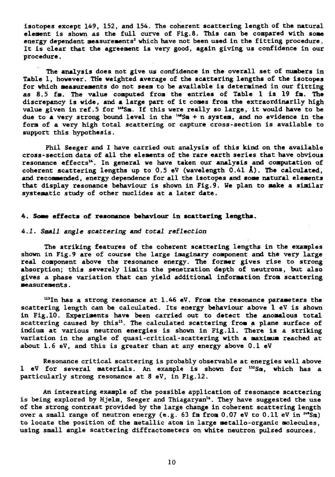isotopes except 149, 152, and 154. The coherent scattering length of the natural element is shown as the full curve of Fig.8. This can be compared with some energy dependent measurements<sup>2</sup> which have not been used in the fitting procedure. It is clear that the agreement is very good, again giving us confidence in our procedure.

The analysis does not give us confidence in the overall set of numbers in Table 1, however. The weighted average of the scattering lengths of the isotopes for which measurements do not seem to be available is determined in our fitting as 8.5 fm. The value computed from the entries of Table 1 is 19 fa. The discrepancy is wide, and a large part of it comes from the extraordinarily high value given in ref .5 for "\*Sm. If this were really so large, it would have to be due to a very strong bound level in the  $44$ Sm + n system, and no evidence in the form of a very high total scattering or capture cross-section is available to support this hypothesis.

Phil Seeger and I have carried out analysis of this kind on the available cross-section data of all the elements of the rare earth series that have obvious resonance effects<sup>14</sup>. In general we have taken our analysis and computation of coherent scattering lengths up to 0.5 eV (wavelength  $0.41 \text{ Å}$ ). The calculated, and recommended, energy dependence for all the isotopes and some natural elements that display resonance behaviour is shown in Fig.9. We plan to make a similar systematic study of other nuclides at a later date.

#### 4. **Some** effects of resonance behaviour in scattering lengths.

#### 4.1. Small angle scattering and total reflection

The striking features of the coherent scattering lengths in the examples shown in Fig.9 are of course the large imaginary component and the very large real component above the resonance energy. The former gives rise to strong absorption; this severely limits the penetration depth of neutrons, but also gives a phase variation that can yield additional information from scattering measurements.

 $115$ In has a strong resonance at  $1.46$  eV. From the resonance parameters the scattering length can be calculated. Its energy behaviour above 1 eV is shown in Fig.10. Experiments have been carried out to detect the anomalous total scattering caused by this". The calculated scattering from a plane surface of indium at various neutron energies is shown in Fig.11. There is a striking variation in the angle of quasi-critical-scattering with a maximum reached at about 1.6 eV, and this is greater than at any energy above 0.1 eV

Resonance critical scattering is probably observable at energies well above 1 eV for several materials. An example is shown for <sup>132</sup>Sm, which has a particularly strong resonance at 8 eV, in Fig.12.

An interesting example of the possible application of resonance scattering is being explored by Hjelm, Seeger and Thiagaryan". They have suggested the use of the strong contrast provided by the large change in coherent scattering length over a small range of neutron energy (e.g. 63 fm from 0.07 eV to 0.11 eV in  $^{105}$ m) to locate the position of the metallic atom in large metallo-organic molecules, using small angle scattering diffractometers on white neutron pulsed sources.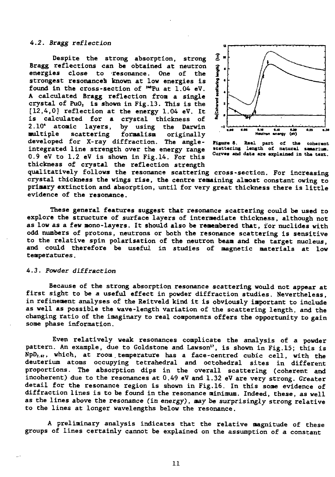## **4.2. Bragg reflection**

**Despite the strong absorption, strong Bragg reflections can be obtained at neutron energies close to -resonance. One of the strongest resonances known at low energies is found in the cross-section of "°Pu at 1.04 eV. A calculated Bragg reflection from a single crystal of PuO2 is shown in Fig. 13. This is the [12,4,0] reflection at the energy 1.04 eV. It is calculated for a crystal thickness of** by using the Darwin **multiple scattering formalism originally developed for X-ray diffraction. The angleintegrated line strength over the energy range 0.9 eV to 1.2 eV is shown in Fig.14. For this thickness of crystal the reflection strength**



**Ficura S. Raal part of tha cobarant scattaring langth of natural Curvaa and data ara axplainad in**

**qualitatively follows the resonance scattering cross-section. For increasing crystal thickness the wings rise, the centre remaining almost constant owing to primary extinction and absorption, until for very great thickness there is little evidence of the resonance.**

**These general features suggest that resonance scattering could be used to explore the structure of surface layers of intermediate thickness, although not as low as a few mono-layers. It should also be remembered that, tor nuclides with odd numbers of protons, neutrons or both the resonance scattering is sensitive to the relative spin polarisation of the neutron beam and the target nucleus, and could therefore be useful in studies of magnetic materials at low temperatures.**

#### **4.3. Powder diffraction**

**Because of the strong absorption resonance scattering would not appear at first sight to be a useful effect in powder diffraction studies. Nevertheless, in refinement analyses of the Reitveld kind it is obviously important to include as well as possible the wave-length variation of the scattering length, and the changing ratio of the imaginary to real components offers the opportunity to gain some phase information.**

**Even relatively weak resonances complicate the analysis of a powder pattern. An example, due to Goldstone and Lawson", is shown in Fig.15; this is NpD2.«7, which, at room. temperature has a face-centred cubic cell, with the deuterium atoms occupying tetrahedral and octohedral sites in different proportions. The absorption dips in the overall scattering (coherent and incoherent) due to the resonances at 0.49 eV and 1.32 eV are very strong. Greater detail for the resonance region is shown in Fig.16. In this some evidence of diffraction lines is to be found in the resonance minimum. Indeed, these, as well as the lines above the resonance (in energy), may be surprisingly strong relative to the lines at longer wavelengths below the resonance.**

**A preliminary analysis indicates that the relative magnitude of these groups of lines certainly cannot be explained on the assumption of a constant**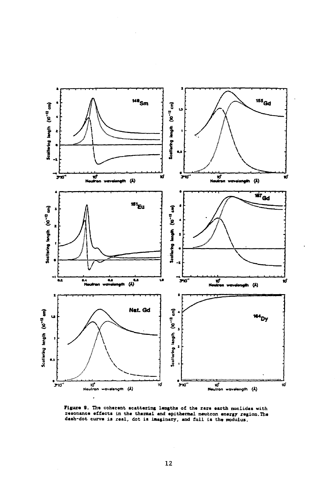

Figure 9. The coherent scattering lengths of the rare earth nuclides with resonance effects in the thermal and epithermal neutron energy region. The dash-dot curve is real, dot is imaginary, and full is the modulus.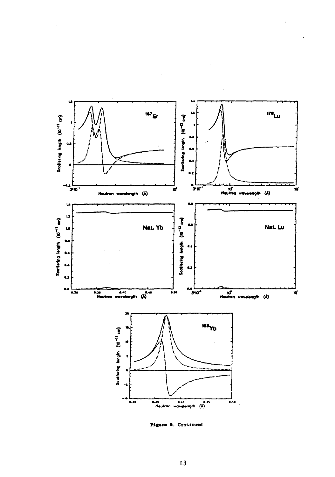

Figure 9. Continued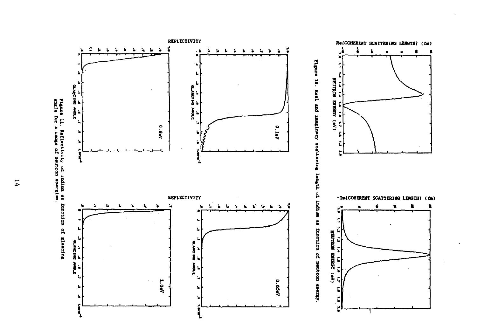





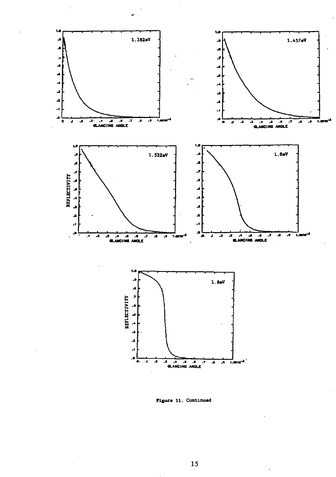

Figure 11. Continued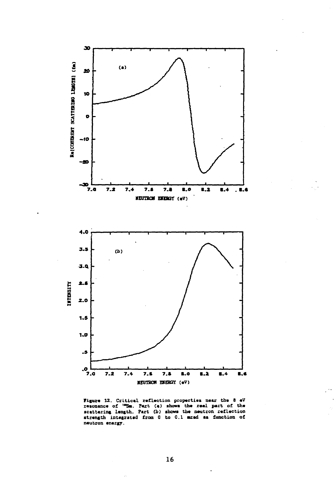

Figure 12. Critical reflection properties near the 8 eV<br>resonance of <sup>198</sup>Sm. Part (a) shows the real part of the<br>scattering length. Part (b) shows the neutron reflection<br>strength integrated from 0 to 0.1 mrad as function neutron energy.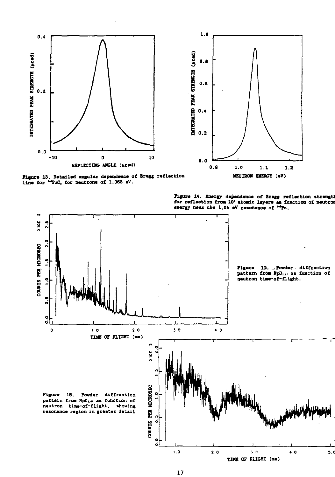

Figure 13. Detailed angular dependence of Bragg reflection line for "PuC, for neutrons of 1.068 eV.



Figure 14. Energy dependence of Bragg reflection strength for reflection from 10' atomic leyers as function of neutron energy near the 1.04 eV resonance of "Pu.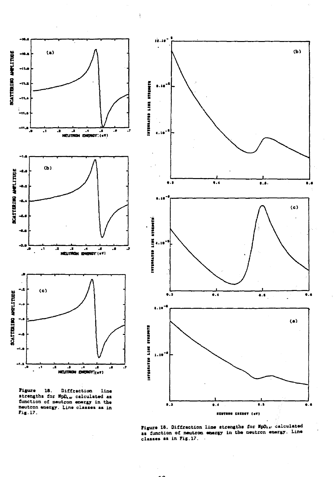

 $\mathbf{l}$ 





Figure 18. Diffraction line strengths for MpD<sub>ra</sub>, calculated<br>as function of neutron energy in the neutron energy. Line classes as in Fig. 17.